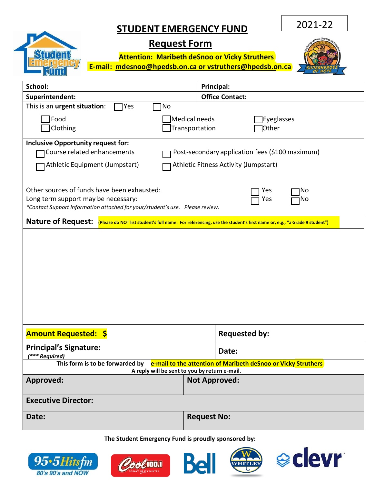## **STUDENT EMERGENCY FUND**

2021-22

## Strden

## **Request Form**

**Attention: Maribeth deSnoo or Vicky Struthers E-mail: [mdesnoo@hpedsb.on.ca or](mailto:mdesnoo@hpedsb.on.ca%20or%20lnoel@hpedsb.on.ca) vstruthers@hpedsb.on.ca** 



| School:                                                                                                                                                                                                | Principal:                                             |  |  |
|--------------------------------------------------------------------------------------------------------------------------------------------------------------------------------------------------------|--------------------------------------------------------|--|--|
| Superintendent:                                                                                                                                                                                        | <b>Office Contact:</b>                                 |  |  |
| This is an urgent situation:<br>Yes<br>No                                                                                                                                                              |                                                        |  |  |
| Food<br>Clothing                                                                                                                                                                                       | Medical needs<br>Eyeglasses<br>Transportation<br>Other |  |  |
| <b>Inclusive Opportunity request for:</b><br>Course related enhancements<br>Post-secondary application fees (\$100 maximum)<br>Athletic Equipment (Jumpstart)<br>Athletic Fitness Activity (Jumpstart) |                                                        |  |  |
| Other sources of funds have been exhausted:<br>Yes<br>No<br>Long term support may be necessary:<br>No<br>Yes<br>*Contact Support Information attached for your/student's use. Please review.           |                                                        |  |  |
| Nature of Request: (Please do NOT list student's full name. For referencing, use the student's first name or, e.g., "a Grade 9 student")                                                               |                                                        |  |  |
|                                                                                                                                                                                                        |                                                        |  |  |
| <b>Amount Requested: \$</b>                                                                                                                                                                            | <b>Requested by:</b>                                   |  |  |
| <b>Principal's Signature:</b><br>(*** Required)                                                                                                                                                        | Date:                                                  |  |  |
| This form is to be forwarded by e-mail to the attention of Maribeth deSnoo or Vicky Struthers<br>A reply will be sent to you by return e-mail.                                                         |                                                        |  |  |
| <b>Approved:</b>                                                                                                                                                                                       | <b>Not Approved:</b>                                   |  |  |
| <b>Executive Director:</b>                                                                                                                                                                             |                                                        |  |  |
| Date:                                                                                                                                                                                                  | <b>Request No:</b>                                     |  |  |

**The Student Emergency Fund is proudly sponsored by:**